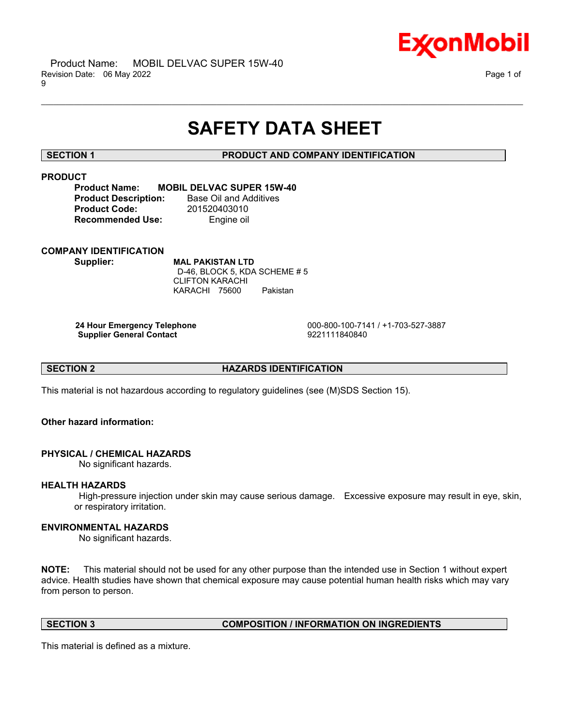

# **SAFETY DATA SHEET**

\_\_\_\_\_\_\_\_\_\_\_\_\_\_\_\_\_\_\_\_\_\_\_\_\_\_\_\_\_\_\_\_\_\_\_\_\_\_\_\_\_\_\_\_\_\_\_\_\_\_\_\_\_\_\_\_\_\_\_\_\_\_\_\_\_\_\_\_\_\_\_\_\_\_\_\_\_\_\_\_\_\_\_\_\_\_\_\_\_\_\_\_\_\_\_\_\_\_\_\_\_\_\_\_\_\_\_\_\_\_\_\_\_\_\_\_\_\_

# **SECTION 1 PRODUCT AND COMPANY IDENTIFICATION**

# **PRODUCT**

# **Product Name: MOBIL DELVAC SUPER 15W-40**

**Product Description:** Base Oil and Additives **Product Code:** 201520403010 **Recommended Use:** Engine oil

# **COMPANY IDENTIFICATION**

**Supplier: MAL PAKISTAN LTD** D-46, BLOCK 5, KDA SCHEME # 5 CLIFTON KARACHI KARACHI 75600 Pakistan

**Supplier General Contact** 

**24 Hour Emergency Telephone** 000-800-100-7141 / +1-703-527-3887

**SECTION 2 HAZARDS IDENTIFICATION**

This material is not hazardous according to regulatory guidelines (see (M)SDS Section 15).

# **Other hazard information:**

# **PHYSICAL / CHEMICAL HAZARDS**

No significant hazards.

# **HEALTH HAZARDS**

High-pressure injection under skin may cause serious damage. Excessive exposure may result in eye, skin, or respiratory irritation.

# **ENVIRONMENTAL HAZARDS**

No significant hazards.

**NOTE:** This material should not be used for any other purpose than the intended use in Section 1 without expert advice. Health studies have shown that chemical exposure may cause potential human health risks which may vary from person to person.

# **SECTION 3 COMPOSITION / INFORMATION ON INGREDIENTS**

This material is defined as a mixture.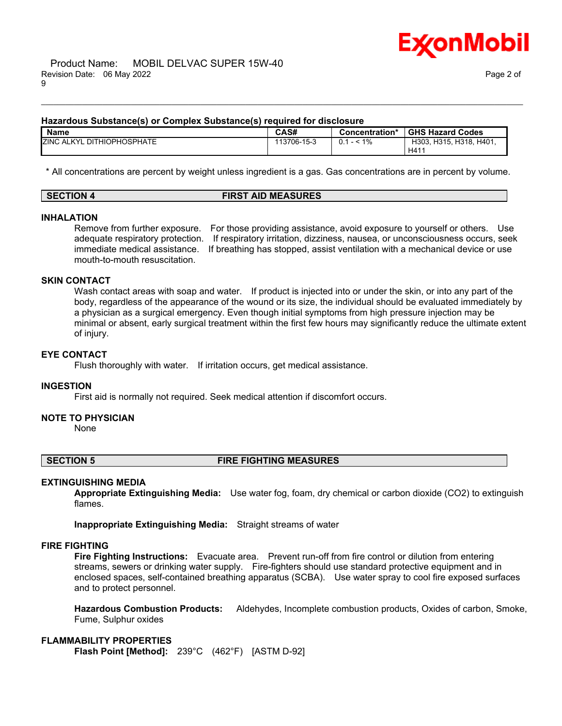

### **Hazardous Substance(s) or Complex Substance(s) required for disclosure**

| <b>Name</b>                            | CAS#        | Concentration* | <b>GHS Hazard Codes</b>            |
|----------------------------------------|-------------|----------------|------------------------------------|
| <b>ZINC ALKYL</b><br>. DITHIOPHOSPHATE | 113706-15-3 | $< 1\%$<br>0.1 | H401.<br>H303, H315, H318,<br>H411 |

\_\_\_\_\_\_\_\_\_\_\_\_\_\_\_\_\_\_\_\_\_\_\_\_\_\_\_\_\_\_\_\_\_\_\_\_\_\_\_\_\_\_\_\_\_\_\_\_\_\_\_\_\_\_\_\_\_\_\_\_\_\_\_\_\_\_\_\_\_\_\_\_\_\_\_\_\_\_\_\_\_\_\_\_\_\_\_\_\_\_\_\_\_\_\_\_\_\_\_\_\_\_\_\_\_\_\_\_\_\_\_\_\_\_\_\_\_\_

\* All concentrations are percent by weight unless ingredient is a gas. Gas concentrations are in percent by volume.

| <b>SECTION 4</b> | <b>FIRST AID MEASURES</b> |
|------------------|---------------------------|
|                  |                           |

# **INHALATION**

Remove from further exposure. For those providing assistance, avoid exposure to yourself or others. Use adequate respiratory protection. If respiratory irritation, dizziness, nausea, or unconsciousness occurs, seek immediate medical assistance. If breathing has stopped, assist ventilation with a mechanical device or use mouth-to-mouth resuscitation.

# **SKIN CONTACT**

Wash contact areas with soap and water. If product is injected into or under the skin, or into any part of the body, regardless of the appearance of the wound or its size, the individual should be evaluated immediately by a physician as a surgical emergency. Even though initial symptoms from high pressure injection may be minimal or absent, early surgical treatment within the first few hours may significantly reduce the ultimate extent of injury.

# **EYE CONTACT**

Flush thoroughly with water. If irritation occurs, get medical assistance.

### **INGESTION**

First aid is normally not required. Seek medical attention if discomfort occurs.

### **NOTE TO PHYSICIAN**

None

# **SECTION 5 FIRE FIGHTING MEASURES**

### **EXTINGUISHING MEDIA**

**Appropriate Extinguishing Media:** Use water fog, foam, dry chemical or carbon dioxide (CO2) to extinguish flames.

**Inappropriate Extinguishing Media:** Straight streams of water

# **FIRE FIGHTING**

**Fire Fighting Instructions:** Evacuate area. Prevent run-off from fire control or dilution from entering streams, sewers or drinking water supply. Fire-fighters should use standard protective equipment and in enclosed spaces, self-contained breathing apparatus (SCBA). Use water spray to cool fire exposed surfaces and to protect personnel.

**Hazardous Combustion Products:** Aldehydes, Incomplete combustion products, Oxides of carbon, Smoke, Fume, Sulphur oxides

### **FLAMMABILITY PROPERTIES**

**Flash Point [Method]:** 239°C (462°F) [ASTM D-92]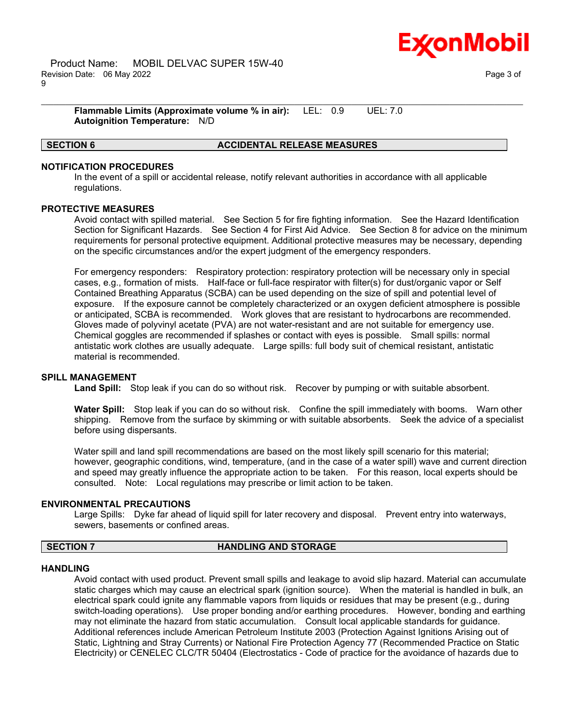

**Flammable Limits (Approximate volume % in air):** LEL: 0.9 UEL: 7.0 **Autoignition Temperature:** N/D

# **SECTION 6 ACCIDENTAL RELEASE MEASURES**

# **NOTIFICATION PROCEDURES**

In the event of a spill or accidental release, notify relevant authorities in accordance with all applicable regulations.

\_\_\_\_\_\_\_\_\_\_\_\_\_\_\_\_\_\_\_\_\_\_\_\_\_\_\_\_\_\_\_\_\_\_\_\_\_\_\_\_\_\_\_\_\_\_\_\_\_\_\_\_\_\_\_\_\_\_\_\_\_\_\_\_\_\_\_\_\_\_\_\_\_\_\_\_\_\_\_\_\_\_\_\_\_\_\_\_\_\_\_\_\_\_\_\_\_\_\_\_\_\_\_\_\_\_\_\_\_\_\_\_\_\_\_\_\_\_

### **PROTECTIVE MEASURES**

Avoid contact with spilled material. See Section 5 for fire fighting information. See the Hazard Identification Section for Significant Hazards. See Section 4 for First Aid Advice. See Section 8 for advice on the minimum requirements for personal protective equipment. Additional protective measures may be necessary, depending on the specific circumstances and/or the expert judgment of the emergency responders.

For emergency responders: Respiratory protection: respiratory protection will be necessary only in special cases, e.g., formation of mists. Half-face or full-face respirator with filter(s) for dust/organic vapor or Self Contained Breathing Apparatus (SCBA) can be used depending on the size of spill and potential level of exposure. If the exposure cannot be completely characterized or an oxygen deficient atmosphere is possible or anticipated, SCBA is recommended. Work gloves that are resistant to hydrocarbons are recommended. Gloves made of polyvinyl acetate (PVA) are not water-resistant and are not suitable for emergency use. Chemical goggles are recommended if splashes or contact with eyes is possible. Small spills: normal antistatic work clothes are usually adequate. Large spills: full body suit of chemical resistant, antistatic material is recommended.

### **SPILL MANAGEMENT**

**Land Spill:** Stop leak if you can do so without risk. Recover by pumping or with suitable absorbent.

**Water Spill:** Stop leak if you can do so without risk. Confine the spill immediately with booms. Warn other shipping. Remove from the surface by skimming or with suitable absorbents. Seek the advice of a specialist before using dispersants.

Water spill and land spill recommendations are based on the most likely spill scenario for this material; however, geographic conditions, wind, temperature, (and in the case of a water spill) wave and current direction and speed may greatly influence the appropriate action to be taken. For this reason, local experts should be consulted. Note: Local regulations may prescribe or limit action to be taken.

# **ENVIRONMENTAL PRECAUTIONS**

Large Spills: Dyke far ahead of liquid spill for later recovery and disposal. Prevent entry into waterways, sewers, basements or confined areas.

### **SECTION 7 HANDLING AND STORAGE**

### **HANDLING**

Avoid contact with used product. Prevent small spills and leakage to avoid slip hazard. Material can accumulate static charges which may cause an electrical spark (ignition source). When the material is handled in bulk, an electrical spark could ignite any flammable vapors from liquids or residues that may be present (e.g., during switch-loading operations). Use proper bonding and/or earthing procedures. However, bonding and earthing may not eliminate the hazard from static accumulation. Consult local applicable standards for guidance. Additional references include American Petroleum Institute 2003 (Protection Against Ignitions Arising out of Static, Lightning and Stray Currents) or National Fire Protection Agency 77 (Recommended Practice on Static Electricity) or CENELEC CLC/TR 50404 (Electrostatics - Code of practice for the avoidance of hazards due to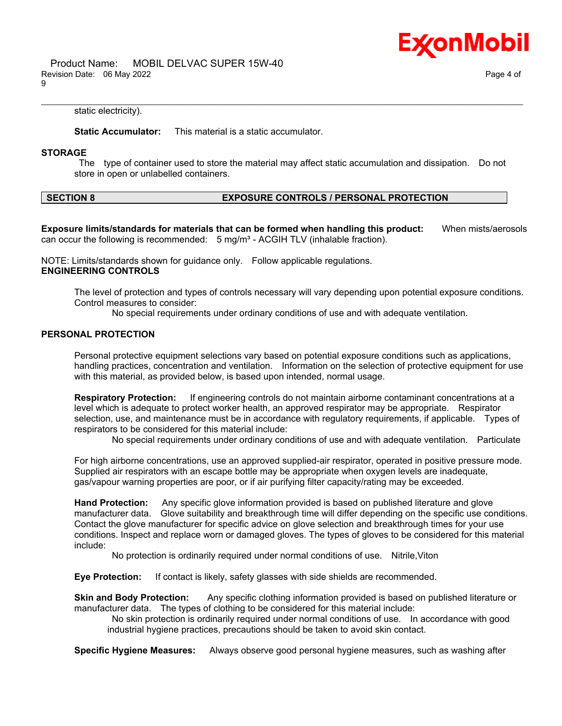

 Product Name: MOBIL DELVAC SUPER 15W-40 Revision Date: 06 May 2022 Page 4 of 9

static electricity).

**Static Accumulator:** This material is a static accumulator.

### **STORAGE**

The type of container used to store the material may affect static accumulation and dissipation. Do not store in open or unlabelled containers.

\_\_\_\_\_\_\_\_\_\_\_\_\_\_\_\_\_\_\_\_\_\_\_\_\_\_\_\_\_\_\_\_\_\_\_\_\_\_\_\_\_\_\_\_\_\_\_\_\_\_\_\_\_\_\_\_\_\_\_\_\_\_\_\_\_\_\_\_\_\_\_\_\_\_\_\_\_\_\_\_\_\_\_\_\_\_\_\_\_\_\_\_\_\_\_\_\_\_\_\_\_\_\_\_\_\_\_\_\_\_\_\_\_\_\_\_\_\_

# **SECTION 8 EXPOSURE CONTROLS / PERSONAL PROTECTION**

**Exposure limits/standards for materials that can be formed when handling this product:** When mists/aerosols can occur the following is recommended:  $5 \text{ mg/m}^3$  - ACGIH TLV (inhalable fraction).

NOTE: Limits/standards shown for guidance only. Follow applicable regulations. **ENGINEERING CONTROLS**

The level of protection and types of controls necessary will vary depending upon potential exposure conditions. Control measures to consider:

No special requirements under ordinary conditions of use and with adequate ventilation.

### **PERSONAL PROTECTION**

Personal protective equipment selections vary based on potential exposure conditions such as applications, handling practices, concentration and ventilation. Information on the selection of protective equipment for use with this material, as provided below, is based upon intended, normal usage.

**Respiratory Protection:** If engineering controls do not maintain airborne contaminant concentrations at a level which is adequate to protect worker health, an approved respirator may be appropriate. Respirator selection, use, and maintenance must be in accordance with regulatory requirements, if applicable. Types of respirators to be considered for this material include:

No special requirements under ordinary conditions of use and with adequate ventilation. Particulate

For high airborne concentrations, use an approved supplied-air respirator, operated in positive pressure mode. Supplied air respirators with an escape bottle may be appropriate when oxygen levels are inadequate, gas/vapour warning properties are poor, or if air purifying filter capacity/rating may be exceeded.

**Hand Protection:** Any specific glove information provided is based on published literature and glove manufacturer data. Glove suitability and breakthrough time will differ depending on the specific use conditions. Contact the glove manufacturer for specific advice on glove selection and breakthrough times for your use conditions. Inspect and replace worn or damaged gloves. The types of gloves to be considered for this material include:

No protection is ordinarily required under normal conditions of use. Nitrile,Viton

**Eye Protection:** If contact is likely, safety glasses with side shields are recommended.

**Skin and Body Protection:** Any specific clothing information provided is based on published literature or manufacturer data. The types of clothing to be considered for this material include:

No skin protection is ordinarily required under normal conditions of use. In accordance with good industrial hygiene practices, precautions should be taken to avoid skin contact.

**Specific Hygiene Measures:** Always observe good personal hygiene measures, such as washing after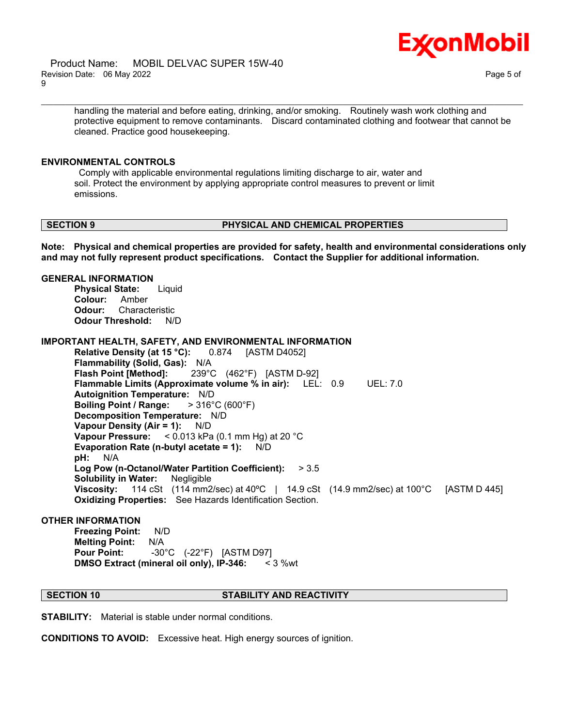

 Product Name: MOBIL DELVAC SUPER 15W-40 Revision Date: 06 May 2022 Page 5 of 9

handling the material and before eating, drinking, and/or smoking. Routinely wash work clothing and protective equipment to remove contaminants. Discard contaminated clothing and footwear that cannot be cleaned. Practice good housekeeping.

\_\_\_\_\_\_\_\_\_\_\_\_\_\_\_\_\_\_\_\_\_\_\_\_\_\_\_\_\_\_\_\_\_\_\_\_\_\_\_\_\_\_\_\_\_\_\_\_\_\_\_\_\_\_\_\_\_\_\_\_\_\_\_\_\_\_\_\_\_\_\_\_\_\_\_\_\_\_\_\_\_\_\_\_\_\_\_\_\_\_\_\_\_\_\_\_\_\_\_\_\_\_\_\_\_\_\_\_\_\_\_\_\_\_\_\_\_\_

### **ENVIRONMENTAL CONTROLS**

Comply with applicable environmental regulations limiting discharge to air, water and soil. Protect the environment by applying appropriate control measures to prevent or limit emissions.

### **SECTION 9 PHYSICAL AND CHEMICAL PROPERTIES**

**Note: Physical and chemical properties are provided for safety, health and environmental considerations only and may not fully represent product specifications. Contact the Supplier for additional information.**

### **GENERAL INFORMATION**

**Physical State:** Liquid **Colour:** Amber **Odour:** Characteristic **Odour Threshold:** N/D

### **IMPORTANT HEALTH, SAFETY, AND ENVIRONMENTAL INFORMATION**

**Relative Density (at 15 °C):** 0.874 [ASTM D4052] **Flammability (Solid, Gas):** N/A **Flash Point [Method]:** 239°C (462°F) [ASTM D-92] **Flammable Limits (Approximate volume % in air):** LEL: 0.9 UEL: 7.0 **Autoignition Temperature:** N/D **Boiling Point / Range:** > 316°C (600°F) **Decomposition Temperature:** N/D **Vapour Density (Air = 1):** N/D **Vapour Pressure:** < 0.013 kPa (0.1 mm Hg) at 20 °C **Evaporation Rate (n-butyl acetate = 1):** N/D **pH:** N/A **Log Pow (n-Octanol/Water Partition Coefficient):** > 3.5 **Solubility in Water:** Negligible **Viscosity:** 114 cSt (114 mm2/sec) at 40ºC | 14.9 cSt (14.9 mm2/sec) at 100°C [ASTM D 445] **Oxidizing Properties:** See Hazards Identification Section.

### **OTHER INFORMATION**

**Freezing Point:** N/D **Melting Point:** N/A **Pour Point:** -30°C (-22°F) [ASTM D97] **DMSO Extract (mineral oil only), IP-346:** < 3 %wt

# **SECTION 10 STABILITY AND REACTIVITY**

**STABILITY:** Material is stable under normal conditions.

**CONDITIONS TO AVOID:** Excessive heat. High energy sources of ignition.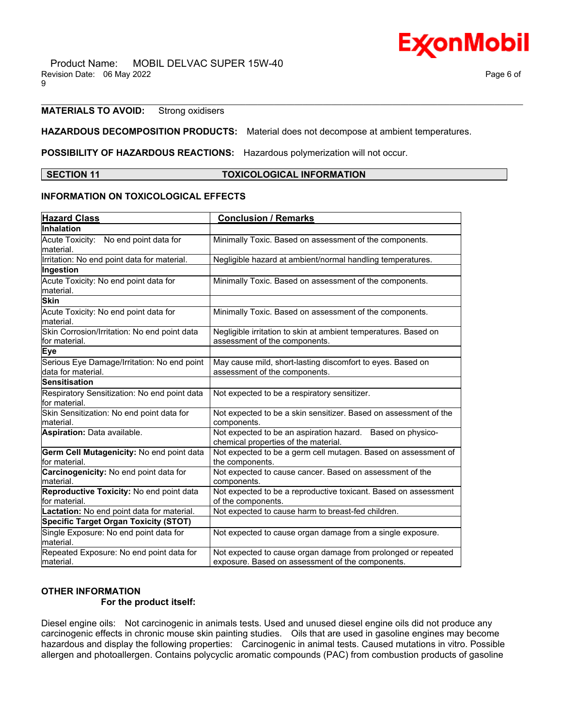# **MATERIALS TO AVOID:** Strong oxidisers

# **HAZARDOUS DECOMPOSITION PRODUCTS:** Material does not decompose at ambient temperatures.

**POSSIBILITY OF HAZARDOUS REACTIONS:** Hazardous polymerization will not occur.

### **SECTION 11 TOXICOLOGICAL INFORMATION**

\_\_\_\_\_\_\_\_\_\_\_\_\_\_\_\_\_\_\_\_\_\_\_\_\_\_\_\_\_\_\_\_\_\_\_\_\_\_\_\_\_\_\_\_\_\_\_\_\_\_\_\_\_\_\_\_\_\_\_\_\_\_\_\_\_\_\_\_\_\_\_\_\_\_\_\_\_\_\_\_\_\_\_\_\_\_\_\_\_\_\_\_\_\_\_\_\_\_\_\_\_\_\_\_\_\_\_\_\_\_\_\_\_\_\_\_\_\_

# **INFORMATION ON TOXICOLOGICAL EFFECTS**

| <b>Hazard Class</b>                                            | <b>Conclusion / Remarks</b>                                                                        |  |  |
|----------------------------------------------------------------|----------------------------------------------------------------------------------------------------|--|--|
| Inhalation                                                     |                                                                                                    |  |  |
| Acute Toxicity: No end point data for                          | Minimally Toxic. Based on assessment of the components.                                            |  |  |
| lmaterial.                                                     |                                                                                                    |  |  |
| Irritation: No end point data for material.                    | Negligible hazard at ambient/normal handling temperatures.                                         |  |  |
| Ingestion                                                      |                                                                                                    |  |  |
| Acute Toxicity: No end point data for                          | Minimally Toxic. Based on assessment of the components.                                            |  |  |
| material.                                                      |                                                                                                    |  |  |
| <b>Skin</b>                                                    |                                                                                                    |  |  |
| Acute Toxicity: No end point data for<br>lmaterial.            | Minimally Toxic. Based on assessment of the components.                                            |  |  |
| Skin Corrosion/Irritation: No end point data<br>lfor material. | Negligible irritation to skin at ambient temperatures. Based on<br>assessment of the components.   |  |  |
| Eye                                                            |                                                                                                    |  |  |
| Serious Eye Damage/Irritation: No end point                    | May cause mild, short-lasting discomfort to eyes. Based on                                         |  |  |
| data for material.                                             | assessment of the components.                                                                      |  |  |
| <b>Sensitisation</b>                                           |                                                                                                    |  |  |
| Respiratory Sensitization: No end point data<br>lfor material. | Not expected to be a respiratory sensitizer.                                                       |  |  |
| Skin Sensitization: No end point data for                      | Not expected to be a skin sensitizer. Based on assessment of the                                   |  |  |
| lmaterial.                                                     | components.                                                                                        |  |  |
| Aspiration: Data available.                                    | Not expected to be an aspiration hazard. Based on physico-<br>chemical properties of the material. |  |  |
| Germ Cell Mutagenicity: No end point data<br>for material.     | Not expected to be a germ cell mutagen. Based on assessment of<br>the components.                  |  |  |
| Carcinogenicity: No end point data for                         | Not expected to cause cancer. Based on assessment of the                                           |  |  |
| lmaterial.                                                     | components.                                                                                        |  |  |
| Reproductive Toxicity: No end point data                       | Not expected to be a reproductive toxicant. Based on assessment                                    |  |  |
| for material.                                                  | of the components.                                                                                 |  |  |
| Lactation: No end point data for material.                     | Not expected to cause harm to breast-fed children.                                                 |  |  |
| <b>Specific Target Organ Toxicity (STOT)</b>                   |                                                                                                    |  |  |
| Single Exposure: No end point data for<br>lmaterial.           | Not expected to cause organ damage from a single exposure.                                         |  |  |
| Repeated Exposure: No end point data for                       | Not expected to cause organ damage from prolonged or repeated                                      |  |  |
| material.                                                      | exposure. Based on assessment of the components.                                                   |  |  |

### **OTHER INFORMATION For the product itself:**

Diesel engine oils: Not carcinogenic in animals tests. Used and unused diesel engine oils did not produce any carcinogenic effects in chronic mouse skin painting studies. Oils that are used in gasoline engines may become hazardous and display the following properties: Carcinogenic in animal tests. Caused mutations in vitro. Possible allergen and photoallergen. Contains polycyclic aromatic compounds (PAC) from combustion products of gasoline

Ex⁄onMobil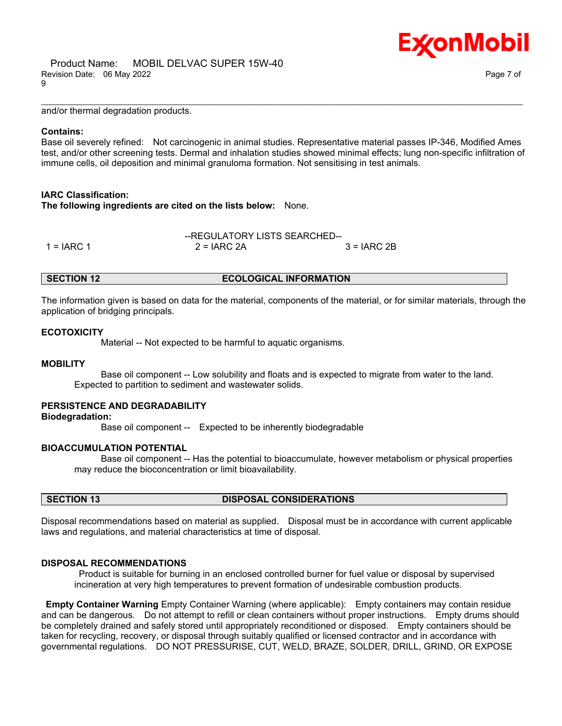E**x**onMobil

and/or thermal degradation products.

### **Contains:**

Base oil severely refined: Not carcinogenic in animal studies. Representative material passes IP-346, Modified Ames test, and/or other screening tests. Dermal and inhalation studies showed minimal effects; lung non-specific infiltration of immune cells, oil deposition and minimal granuloma formation. Not sensitising in test animals.

\_\_\_\_\_\_\_\_\_\_\_\_\_\_\_\_\_\_\_\_\_\_\_\_\_\_\_\_\_\_\_\_\_\_\_\_\_\_\_\_\_\_\_\_\_\_\_\_\_\_\_\_\_\_\_\_\_\_\_\_\_\_\_\_\_\_\_\_\_\_\_\_\_\_\_\_\_\_\_\_\_\_\_\_\_\_\_\_\_\_\_\_\_\_\_\_\_\_\_\_\_\_\_\_\_\_\_\_\_\_\_\_\_\_\_\_\_\_

# **IARC Classification:**

**The following ingredients are cited on the lists below:** None.

|               | --REGULATORY LISTS SEARCHED-- |               |  |
|---------------|-------------------------------|---------------|--|
| 1 = $I$ ARC 1 | $2 = IARC 2A$                 | $3 = IARC 2B$ |  |

### **SECTION 12 ECOLOGICAL INFORMATION**

The information given is based on data for the material, components of the material, or for similar materials, through the application of bridging principals.

### **ECOTOXICITY**

Material -- Not expected to be harmful to aquatic organisms.

### **MOBILITY**

 Base oil component -- Low solubility and floats and is expected to migrate from water to the land. Expected to partition to sediment and wastewater solids.

# **PERSISTENCE AND DEGRADABILITY**

**Biodegradation:**

Base oil component -- Expected to be inherently biodegradable

# **BIOACCUMULATION POTENTIAL**

 Base oil component -- Has the potential to bioaccumulate, however metabolism or physical properties may reduce the bioconcentration or limit bioavailability.

# **SECTION 13 DISPOSAL CONSIDERATIONS**

Disposal recommendations based on material as supplied. Disposal must be in accordance with current applicable laws and regulations, and material characteristics at time of disposal.

# **DISPOSAL RECOMMENDATIONS**

Product is suitable for burning in an enclosed controlled burner for fuel value or disposal by supervised incineration at very high temperatures to prevent formation of undesirable combustion products.

**Empty Container Warning** Empty Container Warning (where applicable): Empty containers may contain residue and can be dangerous. Do not attempt to refill or clean containers without proper instructions. Empty drums should be completely drained and safely stored until appropriately reconditioned or disposed. Empty containers should be taken for recycling, recovery, or disposal through suitably qualified or licensed contractor and in accordance with governmental regulations. DO NOT PRESSURISE, CUT, WELD, BRAZE, SOLDER, DRILL, GRIND, OR EXPOSE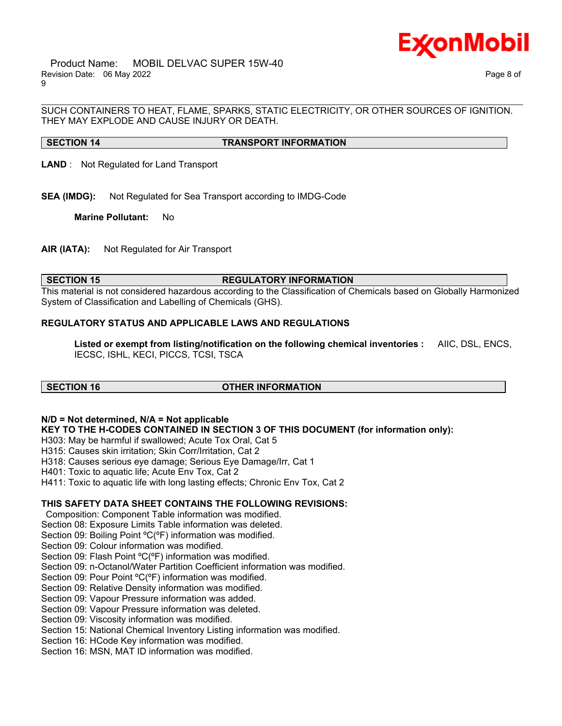

SUCH CONTAINERS TO HEAT, FLAME, SPARKS, STATIC ELECTRICITY, OR OTHER SOURCES OF IGNITION. THEY MAY EXPLODE AND CAUSE INJURY OR DEATH.

\_\_\_\_\_\_\_\_\_\_\_\_\_\_\_\_\_\_\_\_\_\_\_\_\_\_\_\_\_\_\_\_\_\_\_\_\_\_\_\_\_\_\_\_\_\_\_\_\_\_\_\_\_\_\_\_\_\_\_\_\_\_\_\_\_\_\_\_\_\_\_\_\_\_\_\_\_\_\_\_\_\_\_\_\_\_\_\_\_\_\_\_\_\_\_\_\_\_\_\_\_\_\_\_\_\_\_\_\_\_\_\_\_\_\_\_\_\_

# **SECTION 14 TRANSPORT INFORMATION**

**LAND** : Not Regulated for Land Transport

**SEA (IMDG):** Not Regulated for Sea Transport according to IMDG-Code

**Marine Pollutant:** No

**AIR (IATA):** Not Regulated for Air Transport

### **SECTION 15 REGULATORY INFORMATION**

This material is not considered hazardous according to the Classification of Chemicals based on Globally Harmonized System of Classification and Labelling of Chemicals (GHS).

# **REGULATORY STATUS AND APPLICABLE LAWS AND REGULATIONS**

**Listed or exempt from listing/notification on the following chemical inventories :** AIIC, DSL, ENCS, IECSC, ISHL, KECI, PICCS, TCSI, TSCA

# **SECTION 16 OTHER INFORMATION**

### **N/D = Not determined, N/A = Not applicable**

**KEY TO THE H-CODES CONTAINED IN SECTION 3 OF THIS DOCUMENT (for information only):**

H303: May be harmful if swallowed; Acute Tox Oral, Cat 5

H315: Causes skin irritation; Skin Corr/Irritation, Cat 2

- H318: Causes serious eye damage; Serious Eye Damage/Irr, Cat 1
- H401: Toxic to aquatic life; Acute Env Tox, Cat 2

H411: Toxic to aquatic life with long lasting effects; Chronic Env Tox, Cat 2

# **THIS SAFETY DATA SHEET CONTAINS THE FOLLOWING REVISIONS:**

Composition: Component Table information was modified.

Section 08: Exposure Limits Table information was deleted.

Section 09: Boiling Point ºC(ºF) information was modified.

Section 09: Colour information was modified.

Section 09: Flash Point ºC(ºF) information was modified.

Section 09: n-Octanol/Water Partition Coefficient information was modified.

Section 09: Pour Point °C(°F) information was modified.

Section 09: Relative Density information was modified.

Section 09: Vapour Pressure information was added.

Section 09: Vapour Pressure information was deleted.

Section 09: Viscosity information was modified.

Section 15: National Chemical Inventory Listing information was modified.

Section 16: HCode Key information was modified.

Section 16: MSN, MAT ID information was modified.